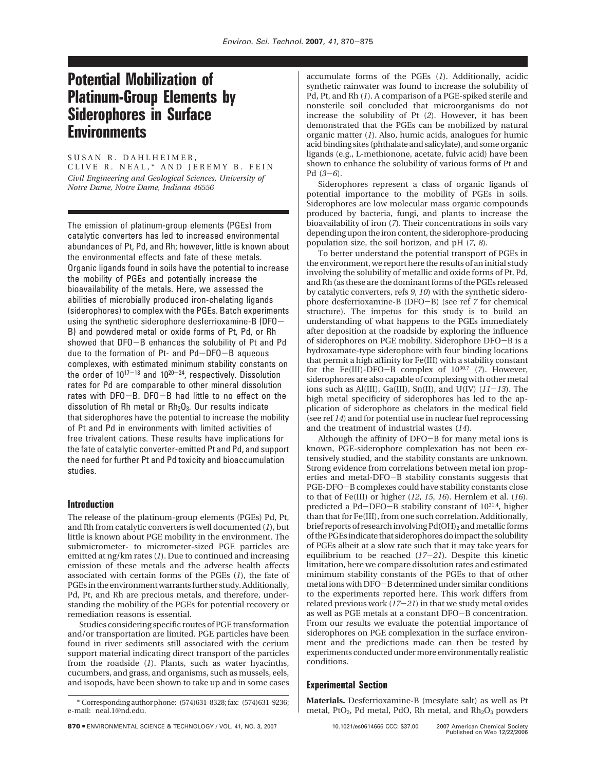# **Potential Mobilization of Platinum-Group Elements by Siderophores in Surface Environments**

SUSAN R. DAHLHEIMER, CLIVE R. NEAL,\* AND JEREMY B. FEIN *Civil Engineering and Geological Sciences, University of Notre Dame, Notre Dame, Indiana 46556*

The emission of platinum-group elements (PGEs) from catalytic converters has led to increased environmental abundances of Pt, Pd, and Rh; however, little is known about the environmental effects and fate of these metals. Organic ligands found in soils have the potential to increase the mobility of PGEs and potentially increase the bioavailability of the metals. Here, we assessed the abilities of microbially produced iron-chelating ligands (siderophores) to complex with the PGEs. Batch experiments using the synthetic siderophore desferrioxamine-B (DFO-B) and powdered metal or oxide forms of Pt, Pd, or Rh showed that DFO-B enhances the solubility of Pt and Pd due to the formation of Pt- and Pd-DFO-B aqueous complexes, with estimated minimum stability constants on the order of  $10^{17-18}$  and  $10^{20-24}$ , respectively. Dissolution rates for Pd are comparable to other mineral dissolution rates with DFO-B. DFO-B had little to no effect on the dissolution of Rh metal or  $Rh_2O_3$ . Our results indicate that siderophores have the potential to increase the mobility of Pt and Pd in environments with limited activities of free trivalent cations. These results have implications for the fate of catalytic converter-emitted Pt and Pd, and support the need for further Pt and Pd toxicity and bioaccumulation studies.

## **Introduction**

The release of the platinum-group elements (PGEs) Pd, Pt, and Rh from catalytic converters is well documented (*1*), but little is known about PGE mobility in the environment. The submicrometer- to micrometer-sized PGE particles are emitted at ng/km rates (*1*). Due to continued and increasing emission of these metals and the adverse health affects associated with certain forms of the PGEs (*1*), the fate of PGEs in the environment warrants further study. Additionally, Pd, Pt, and Rh are precious metals, and therefore, understanding the mobility of the PGEs for potential recovery or remediation reasons is essential.

Studies considering specific routes of PGE transformation and/or transportation are limited. PGE particles have been found in river sediments still associated with the cerium support material indicating direct transport of the particles from the roadside (*1*). Plants, such as water hyacinths, cucumbers, and grass, and organisms, such as mussels, eels, and isopods, have been shown to take up and in some cases

accumulate forms of the PGEs (*1*). Additionally, acidic synthetic rainwater was found to increase the solubility of Pd, Pt, and Rh (*1*). A comparison of a PGE-spiked sterile and nonsterile soil concluded that microorganisms do not increase the solubility of Pt (*2*). However, it has been demonstrated that the PGEs can be mobilized by natural organic matter (*1*). Also, humic acids, analogues for humic acid binding sites (phthalate and salicylate), and some organic ligands (e.g., L-methionone, acetate, fulvic acid) have been shown to enhance the solubility of various forms of Pt and Pd (*3*-*6*).

Siderophores represent a class of organic ligands of potential importance to the mobility of PGEs in soils. Siderophores are low molecular mass organic compounds produced by bacteria, fungi, and plants to increase the bioavailability of iron (*7*). Their concentrations in soils vary depending upon the iron content, the siderophore-producing population size, the soil horizon, and pH (*7*, *8*).

To better understand the potential transport of PGEs in the environment, we report here the results of an initial study involving the solubility of metallic and oxide forms of Pt, Pd, and Rh (as these are the dominant forms of the PGEs released by catalytic converters, refs *9*, *10*) with the synthetic siderophore desferrioxamine-B (DFO-B) (see ref *<sup>7</sup>* for chemical structure). The impetus for this study is to build an understanding of what happens to the PGEs immediately after deposition at the roadside by exploring the influence of siderophores on PGE mobility. Siderophore DFO-B is a hydroxamate-type siderophore with four binding locations that permit a high affinity for Fe(III) with a stability constant for the Fe(III)-DFO-B complex of 1030.7 (*7*). However, siderophores are also capable of complexing with other metal ions such as Al(III), Ga(III), Sn(II), and U(IV) (*11*-*13*). The high metal specificity of siderophores has led to the application of siderophore as chelators in the medical field (see ref *14*) and for potential use in nuclear fuel reprocessing and the treatment of industrial wastes (*14*).

Although the affinity of DFO-B for many metal ions is known, PGE-siderophore complexation has not been extensively studied, and the stability constants are unknown. Strong evidence from correlations between metal ion properties and metal-DFO-B stability constants suggests that PGE-DFO-B complexes could have stability constants close to that of Fe(III) or higher (*12*, *15*, *16*). Hernlem et al. (*16*). predicted a Pd-DFO-B stability constant of 1031.4, higher than that for Fe(III), from one such correlation. Additionally, brief reports of research involving  $Pd(OH)_2$  and metallic forms of the PGEs indicate that siderophores do impact the solubility of PGEs albeit at a slow rate such that it may take years for equilibrium to be reached (*17*-*21*). Despite this kinetic limitation, here we compare dissolution rates and estimated minimum stability constants of the PGEs to that of other metal ions with DFO-B determined under similar conditions to the experiments reported here. This work differs from related previous work (*17*-*21*) in that we study metal oxides as well as PGE metals at a constant DFO-B concentration. From our results we evaluate the potential importance of siderophores on PGE complexation in the surface environment and the predictions made can then be tested by experiments conducted under more environmentally realistic conditions.

# **Experimental Section**

**Materials.** Desferrioxamine-B (mesylate salt) as well as Pt metal, PtO<sub>2</sub>, Pd metal, PdO, Rh metal, and  $Rh<sub>2</sub>O<sub>3</sub>$  powders

<sup>\*</sup> Corresponding author phone: (574)631-8328; fax: (574)631-9236; e-mail: neal.1@nd.edu.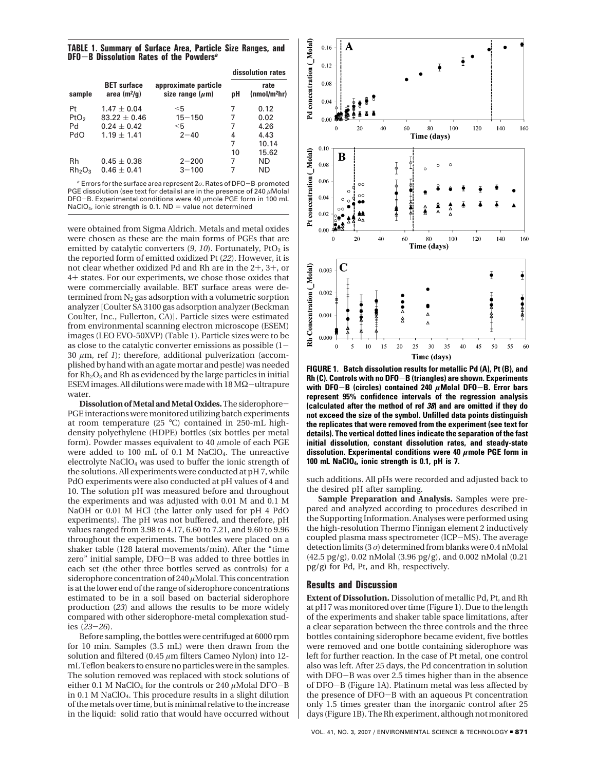**TABLE 1. Summary of Surface Area, Particle Size Ranges, and DFO**-**B Dissolution Rates of the Powders***<sup>a</sup>*

|                                |                                      |                                              | dissolution rates |                                  |
|--------------------------------|--------------------------------------|----------------------------------------------|-------------------|----------------------------------|
| sample                         | <b>BET</b> surface<br>area $(m^2/q)$ | approximate particle<br>size range $(\mu m)$ | pН                | rate<br>(mmol/m <sup>2</sup> hr) |
| Pt                             | $1.47 + 0.04$                        | $<$ 5                                        | 7                 | 0.12                             |
| P <sub>t</sub> O <sub>2</sub>  | $83.22 + 0.46$                       | $15 - 150$                                   | 7                 | 0.02                             |
| Pd                             | $0.24 + 0.42$                        | $<$ 5                                        | 7                 | 4.26                             |
| PdO                            | $1.19 + 1.41$                        | $2 - 40$                                     | 4                 | 4.43                             |
|                                |                                      |                                              | 7                 | 10.14                            |
|                                |                                      |                                              | 10                | 15.62                            |
| Rh                             | $0.45 \pm 0.38$                      | $2 - 200$                                    | 7                 | <b>ND</b>                        |
| Rh <sub>2</sub> O <sub>3</sub> | $0.46 \pm 0.41$                      | $3 - 100$                                    |                   | ND.                              |

<sup>a</sup> Errors for the surface area represent 2*σ*. Rates of DFO-B-promoted PGE dissolution (see text for details) are in the presence of 240  $\mu$ Molal DFO-B. Experimental conditions were 40 *<sup>µ</sup>*mole PGE form in 100 mL NaClO<sub>4</sub>, ionic strength is 0.1.  $ND =$  value not determined

were obtained from Sigma Aldrich. Metals and metal oxides were chosen as these are the main forms of PGEs that are emitted by catalytic converters (9, 10). Fortunately, PtO<sub>2</sub> is the reported form of emitted oxidized Pt (*22*). However, it is not clear whether oxidized Pd and Rh are in the 2+, 3+, or <sup>4</sup>+ states. For our experiments, we chose those oxides that were commercially available. BET surface areas were determined from  $N_2$  gas adsorption with a volumetric sorption analyzer [Coulter SA 3100 gas adsorption analyzer (Beckman Coulter, Inc., Fullerton, CA)]. Particle sizes were estimated from environmental scanning electron microscope (ESEM) images (LEO EVO-50XVP) (Table 1). Particle sizes were to be as close to the catalytic converter emissions as possible (1- 30 *µ*m, ref *1*); therefore, additional pulverization (accomplished by hand with an agate mortar and pestle) was needed for  $Rh_2O_3$  and Rh as evidenced by the large particles in initial ESEM images. All dilutions were made with 18 MΩ-ultrapure water.

**Dissolution of Metal and Metal Oxides.**The siderophore-PGE interactions were monitored utilizing batch experiments at room temperature (25 °C) contained in 250-mL highdensity polyethylene (HDPE) bottles (six bottles per metal form). Powder masses equivalent to 40 *µ*mole of each PGE were added to 100 mL of 0.1 M NaClO<sub>4</sub>. The unreactive electrolyte NaClO<sub>4</sub> was used to buffer the ionic strength of the solutions. All experiments were conducted at pH 7, while PdO experiments were also conducted at pH values of 4 and 10. The solution pH was measured before and throughout the experiments and was adjusted with 0.01 M and 0.1 M NaOH or 0.01 M HCl (the latter only used for pH 4 PdO experiments). The pH was not buffered, and therefore, pH values ranged from 3.98 to 4.17, 6.60 to 7.21, and 9.60 to 9.96 throughout the experiments. The bottles were placed on a shaker table (128 lateral movements/min). After the "time zero" initial sample, DFO-B was added to three bottles in each set (the other three bottles served as controls) for a siderophore concentration of 240 *µ*Molal. This concentration is at the lower end of the range of siderophore concentrations estimated to be in a soil based on bacterial siderophore production (*23*) and allows the results to be more widely compared with other siderophore-metal complexation studies (*23*-*26*).

Before sampling, the bottles were centrifuged at 6000 rpm for 10 min. Samples (3.5 mL) were then drawn from the solution and filtered (0.45 *µ*m filters Cameo Nylon) into 12 mL Teflon beakers to ensure no particles were in the samples. The solution removed was replaced with stock solutions of either 0.1 M NaClO<sub>4</sub> for the controls or 240  $\mu$ Molal DFO-B in 0.1 M NaClO4. This procedure results in a slight dilution of the metals over time, but is minimal relative to the increase in the liquid: solid ratio that would have occurred without



**FIGURE 1. Batch dissolution results for metallic Pd (A), Pt (B), and Rh (C). Controls with no DFO**-**B (triangles) are shown. Experiments with DFO**-**B (circles) contained 240** *<sup>µ</sup>***Molal DFO**-**B. Error bars represent 95% confidence intervals of the regression analysis (calculated after the method of ref 38) and are omitted if they do not exceed the size of the symbol. Unfilled data points distinguish the replicates that were removed from the experiment (see text for details). The vertical dotted lines indicate the separation of the fast initial dissolution, constant dissolution rates, and steady-state dissolution. Experimental conditions were 40** *µ***mole PGE form in 100 mL NaClO4, ionic strength is 0.1, pH is 7.**

such additions. All pHs were recorded and adjusted back to the desired pH after sampling.

**Sample Preparation and Analysis.** Samples were prepared and analyzed according to procedures described in the Supporting Information. Analyses were performed using the high-resolution Thermo Finnigan element 2 inductively coupled plasma mass spectrometer (ICP-MS). The average detection limits (3 *σ*) determined from blanks were 0.4 nMolal (42.5 pg/g), 0.02 nMolal (3.96 pg/g), and 0.002 nMolal (0.21 pg/g) for Pd, Pt, and Rh, respectively.

### **Results and Discussion**

**Extent of Dissolution.** Dissolution of metallic Pd, Pt, and Rh at pH 7 was monitored over time (Figure 1). Due to the length of the experiments and shaker table space limitations, after a clear separation between the three controls and the three bottles containing siderophore became evident, five bottles were removed and one bottle containing siderophore was left for further reaction. In the case of Pt metal, one control also was left. After 25 days, the Pd concentration in solution with DFO-B was over 2.5 times higher than in the absence of DFO-B (Figure 1A). Platinum metal was less affected by the presence of DFO-B with an aqueous Pt concentration only 1.5 times greater than the inorganic control after 25 days (Figure 1B). The Rh experiment, although not monitored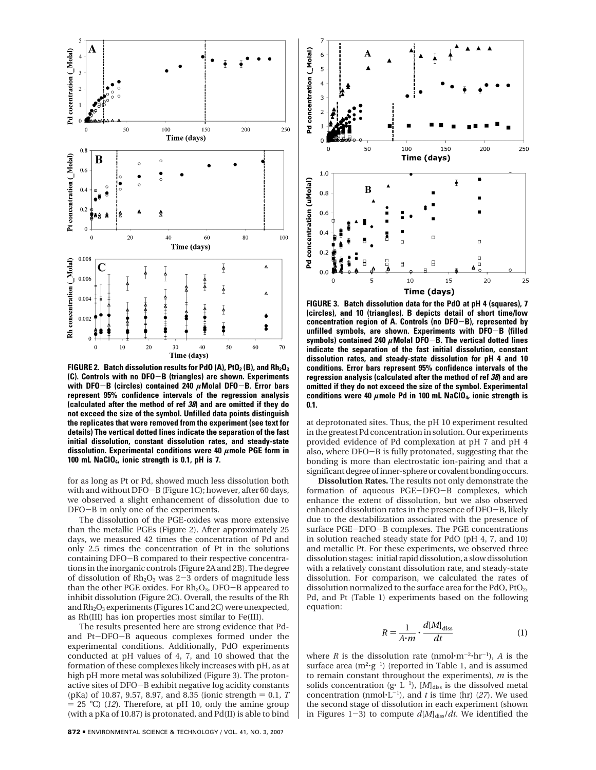

**FIGURE 2. Batch dissolution results for PdO (A), PtO<sub>2</sub> (B), and Rh<sub>2</sub>O<sub>3</sub> (C). Controls with no DFO**-**B (triangles) are shown. Experiments with DFO**-**B (circles) contained 240** *<sup>µ</sup>***Molal DFO**-**B. Error bars represent 95% confidence intervals of the regression analysis (calculated after the method of ref 38) and are omitted if they do not exceed the size of the symbol. Unfilled data points distinguish the replicates that were removed from the experiment (see text for details) The vertical dotted lines indicate the separation of the fast initial dissolution, constant dissolution rates, and steady-state dissolution. Experimental conditions were 40** *µ***mole PGE form in 100 mL NaClO4, ionic strength is 0.1, pH is 7.**

for as long as Pt or Pd, showed much less dissolution both with and without DFO-B (Figure 1C); however, after 60 days, we observed a slight enhancement of dissolution due to DFO-B in only one of the experiments.

The dissolution of the PGE-oxides was more extensive than the metallic PGEs (Figure 2). After approximately 25 days, we measured 42 times the concentration of Pd and only 2.5 times the concentration of Pt in the solutions containing DFO-B compared to their respective concentrations in the inorganic controls (Figure 2A and 2B). The degree of dissolution of  $Rh<sub>2</sub>O<sub>3</sub>$  was 2-3 orders of magnitude less than the other PGE oxides. For  $Rh<sub>2</sub>O<sub>3</sub>$ , DFO-B appeared to inhibit dissolution (Figure 2C). Overall, the results of the Rh and Rh<sub>2</sub>O<sub>3</sub> experiments (Figures 1C and 2C) were unexpected, as Rh(III) has ion properties most similar to Fe(III).

The results presented here are strong evidence that Pdand Pt-DFO-B aqueous complexes formed under the experimental conditions. Additionally, PdO experiments conducted at pH values of 4, 7, and 10 showed that the formation of these complexes likely increases with pH, as at high pH more metal was solubilized (Figure 3). The protonactive sites of DFO-B exhibit negative log acidity constants (pKa) of 10.87, 9.57, 8.97, and 8.35 (ionic strength  $= 0.1, T$  $= 25$  °C) (*12*). Therefore, at pH 10, only the amine group (with a pKa of 10.87) is protonated, and Pd(II) is able to bind



**FIGURE 3. Batch dissolution data for the PdO at pH 4 (squares), 7 (circles), and 10 (triangles). B depicts detail of short time/low concentration region of A. Controls (no DFO**-**B), represented by unfilled symbols, are shown. Experiments with DFO**-**B (filled symbols) contained 240** *<sup>µ</sup>***Molal DFO**-**B. The vertical dotted lines indicate the separation of the fast initial dissolution, constant dissolution rates, and steady-state dissolution for pH 4 and 10 conditions. Error bars represent 95% confidence intervals of the regression analysis (calculated after the method of ref 38) and are omitted if they do not exceed the size of the symbol. Experimental conditions were 40** *µ***mole Pd in 100 mL NaClO4, ionic strength is 0.1.**

at deprotonated sites. Thus, the pH 10 experiment resulted in the greatest Pd concentration in solution. Our experiments provided evidence of Pd complexation at pH 7 and pH 4 also, where DFO-B is fully protonated, suggesting that the bonding is more than electrostatic ion-pairing and that a significant degree of inner-sphere or covalent bonding occurs.

**Dissolution Rates.** The results not only demonstrate the formation of aqueous PGE-DFO-B complexes, which enhance the extent of dissolution, but we also observed enhanced dissolution rates in the presence of DFO-B, likely due to the destabilization associated with the presence of surface PGE-DFO-B complexes. The PGE concentrations in solution reached steady state for PdO (pH 4, 7, and 10) and metallic Pt. For these experiments, we observed three dissolution stages: initial rapid dissolution, a slow dissolution with a relatively constant dissolution rate, and steady-state dissolution. For comparison, we calculated the rates of dissolution normalized to the surface area for the PdO,  $P_1O_2$ , Pd, and Pt (Table 1) experiments based on the following equation:

$$
R = \frac{1}{A \cdot m} \cdot \frac{d[M]_{\text{diss}}}{dt} \tag{1}
$$

where *R* is the dissolution rate (nmol $\cdot$ m<sup>-2</sup> $\cdot$ hr<sup>-1</sup>), *A* is the surface area  $(m^2 \cdot g^{-1})$  (reported in Table 1, and is assumed to remain constant throughout the experiments), *m* is the solids concentration (g·  $L^{-1}$ ), [*M*]<sub>diss</sub> is the dissolved metal concentration (nmol $(L^{-1})$ ), and *t* is time (hr) (27). We used the second stage of dissolution in each experiment (shown in Figures 1-3) to compute  $d[M]_{\text{diss}}/dt$ . We identified the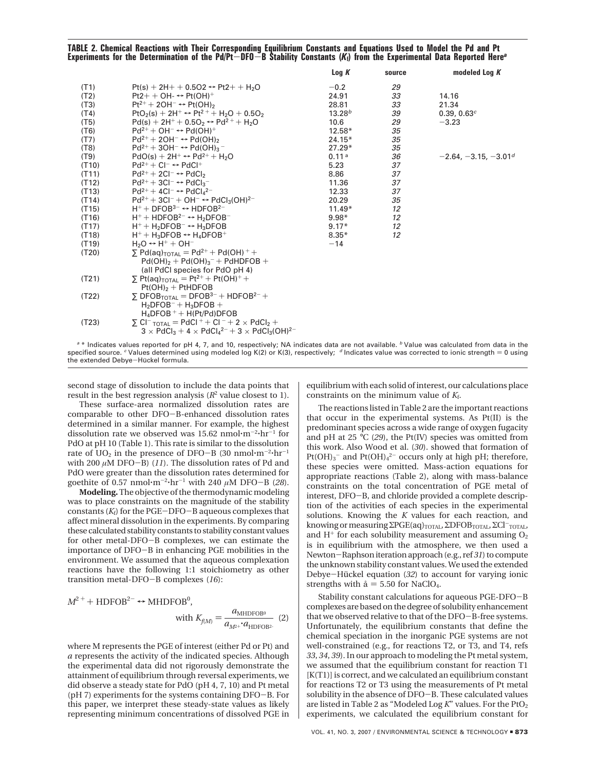# **TABLE 2. Chemical Reactions with Their Corresponding Equilibrium Constants and Equations Used to Model the Pd and Pt Experiments for the Determination of the Pd/Pt**-**DFO**-**B Stability Constants (***K***f) from the Experimental Data Reported Here***<sup>a</sup>*

|       |                                                                                                                             | Log K              | source | modeled Log K          |
|-------|-----------------------------------------------------------------------------------------------------------------------------|--------------------|--------|------------------------|
| (T1)  | $Pt(s) + 2H + 0.5O2 \leftrightarrow Pt2 + H2O$                                                                              | $-0.2$             | 29     |                        |
| (T2)  | $Pt2++OH- \leftrightarrow Pt(OH)^+$                                                                                         | 24.91              | 33     | 14.16                  |
| (T3)  | $Pt^{2+} + 2OH^{-} \rightarrow Pt(OH)_{2}$                                                                                  | 28.81              | 33     | 21.34                  |
| (T4)  | $PtO2(s) + 2H+ \leftrightarrow Pt2+ + H2O + 0.5O2$                                                                          | 13.28 <sup>b</sup> | 39     | 0.39, 0.63c            |
| (T5)  | $Pd(s) + 2H^{+} + 0.5O_2 \leftrightarrow Pd^{2+} + H_2O$                                                                    | 10.6               | 29     | $-3.23$                |
| (T6)  | $Pd^{2+} + OH^- \leftrightarrow Pd(OH)^+$                                                                                   | $12.58*$           | 35     |                        |
| (T7)  | $Pd^{2+} + 2OH^{-} \rightarrow Pd(OH)_{2}$                                                                                  | $24.15*$           | 35     |                        |
| (T8)  | $Pd^{2+}$ + 3OH <sup>-</sup> $\leftrightarrow$ Pd(OH) <sub>3</sub> <sup>-</sup>                                             | $27.29*$           | 35     |                        |
| (T9)  | $PdO(s) + 2H^+ \leftrightarrow Pd^{2+} + H_2O$                                                                              | 0.11 <sup>a</sup>  | 36     | $-2.64, -3.15, -3.01d$ |
| (T10) | $Pd^{2+} + Cl^{-} \leftrightarrow PdCl^{+}$                                                                                 | 5.23               | 37     |                        |
| (T11) | $Pd^{2+} + 2Cl^{-} \rightarrow PdCl_{2}$                                                                                    | 8.86               | 37     |                        |
| (T12) | $Pd^{2+} + 3Cl^{-} \rightarrow PdCl_{3}^{-}$                                                                                | 11.36              | 37     |                        |
| (T13) | $Pd^{2+} + 4Cl^{-} \rightarrow PdCl_{4}^{2-}$                                                                               | 12.33              | 37     |                        |
| (T14) | $Pd^{2+} + 3Cl^- + OH^- \leftrightarrow PdCl_3(OH)^{2-}$                                                                    | 20.29              | 35     |                        |
| (T15) | $H^+$ + DFOB <sup>3-</sup> $\leftrightarrow$ HDFOB <sup>2-</sup>                                                            | $11.49*$           | 12     |                        |
| (T16) | $H^+$ + HDFOB <sup>2-</sup> $\leftrightarrow$ H <sub>2</sub> DFOB <sup>-</sup>                                              | $9.98*$            | 12     |                        |
| (T17) | $H^+ + H_2$ DFOB $^- \leftrightarrow H_3$ DFOB                                                                              | $9.17*$            | 12     |                        |
| (T18) | $H^+ + H_3$ DFOB $\leftrightarrow H_4$ DFOB <sup>+</sup>                                                                    | $8.35*$            | 12     |                        |
| (T19) | $H_2O \leftrightarrow H^+ + OH^-$                                                                                           | $-14$              |        |                        |
| (T20) | $\sum$ Pd(ag) <sub>TOTAL</sub> = Pd <sup>2+</sup> + Pd(OH) <sup>+</sup> +                                                   |                    |        |                        |
|       | $Pd(OH)_{2} + Pd(OH)_{3}^{-} + PdHDFOB +$                                                                                   |                    |        |                        |
|       | (all PdCl species for PdO pH 4)                                                                                             |                    |        |                        |
| (T21) | $\Sigma$ Pt(aq) <sub>TOTAL</sub> = Pt <sup>2+</sup> + Pt(OH) <sup>+</sup> +                                                 |                    |        |                        |
|       | $Pt(OH)_2 + PtHDFOB$                                                                                                        |                    |        |                        |
| (T22) | $\Sigma$ DFOB <sub>TOTAL</sub> = DFOB <sup>3-</sup> + HDFOB <sup>2-</sup> +                                                 |                    |        |                        |
|       | $H_2DFOB^- + H_3DFOB +$                                                                                                     |                    |        |                        |
|       | $H_4$ DFOB + + H(Pt/Pd)DFOB                                                                                                 |                    |        |                        |
| (T23) | $\Sigma$ CI <sup>-</sup> TOTAL = PdCI <sup>+</sup> + CI <sup>-</sup> + 2 × PdCI <sub>2</sub> +                              |                    |        |                        |
|       | $3 \times$ PdCl <sub>3</sub> + 4 $\times$ PdCl <sub>4</sub> <sup>2-</sup> + 3 $\times$ PdCl <sub>3</sub> (OH) <sup>2-</sup> |                    |        |                        |
|       |                                                                                                                             |                    |        |                        |

 $^{\circ}$  \* Indicates values reported for pH 4, 7, and 10, respectively; NA indicates data are not available.  $^{\circ}$  Value was calculated from data in the specified source.  $c$  Values determined using modeled log K(2) or K(3), respectively;  $d$  Indicates value was corrected to ionic strength = 0 using the extended Debye-Hückel formula.

second stage of dissolution to include the data points that result in the best regression analysis (*R*<sup>2</sup> value closest to 1).

These surface-area normalized dissolution rates are comparable to other DFO-B-enhanced dissolution rates determined in a similar manner. For example, the highest dissolution rate we observed was 15.62 nmol $\cdot$ m<sup>-2</sup> $\cdot$ hr<sup>-1</sup> for PdO at pH 10 (Table 1). This rate is similar to the dissolution rate of  $UO<sub>2</sub>$  in the presence of DFO-B (30 nmol $\cdot$ m<sup>-2</sup> $\cdot$ hr<sup>-1</sup> with 200 *<sup>µ</sup>*M DFO-B) (*11*). The dissolution rates of Pd and PdO were greater than the dissolution rates determined for goethite of 0.57 nmol $\cdot$ m<sup>-2</sup> $\cdot$ hr<sup>-1</sup> with 240  $\mu$ M DFO-B (28).

**Modeling.** The objective of the thermodynamic modeling was to place constraints on the magnitude of the stability constants (*K*f) for the PGE-DFO-B aqueous complexes that affect mineral dissolution in the experiments. By comparing these calculated stability constants to stability constant values for other metal-DFO-B complexes, we can estimate the importance of DFO-B in enhancing PGE mobilities in the environment. We assumed that the aqueous complexation reactions have the following 1:1 stoichiometry as other transition metal-DFO-B complexes (*16*):

$$
M^{2+} + \text{HDFOB}^{2-} \leftrightarrow \text{MHDFOB}^{0},
$$
  
with  $K_{f(M)} = \frac{a_{\text{MHDFOB}^{0}}}{a_{M^{2+}} \cdot a_{\text{HDFOB}^{2}}} \tag{2}$ 

where M represents the PGE of interest (either Pd or Pt) and *a* represents the activity of the indicated species. Although the experimental data did not rigorously demonstrate the attainment of equilibrium through reversal experiments, we did observe a steady state for PdO (pH 4, 7, 10) and Pt metal (pH 7) experiments for the systems containing DFO-B. For this paper, we interpret these steady-state values as likely representing minimum concentrations of dissolved PGE in equilibrium with each solid of interest, our calculations place constraints on the minimum value of *K*f.

The reactions listed in Table 2 are the important reactions that occur in the experimental systems. As Pt(II) is the predominant species across a wide range of oxygen fugacity and pH at 25 °C (*29*), the Pt(IV) species was omitted from this work. Also Wood et al. (*30*). showed that formation of  $Pt(OH)<sub>3</sub>$ <sup>-</sup> and  $Pt(OH)<sub>4</sub>$ <sup>2</sup><sup>-</sup> occurs only at high pH; therefore, these species were omitted. Mass-action equations for appropriate reactions (Table 2), along with mass-balance constraints on the total concentration of PGE metal of interest, DFO-B, and chloride provided a complete description of the activities of each species in the experimental solutions. Knowing the *K* values for each reaction, and knowing or measuring ΣPGE(aq)<sub>TOTAL</sub>, ΣDFOB<sub>TOTAL</sub>, ΣCl<sup>-</sup>TOTAL, and  $H^+$  for each solubility measurement and assuming  $O_2$ is in equilibrium with the atmosphere, we then used a Newton-Raphson iteration approach (e.g., ref *<sup>31</sup>*) to compute the unknown stability constant values. We used the extended Debye-Hückel equation (32) to account for varying ionic strengths with  $\hat{a} = 5.50$  for NaClO<sub>4</sub>.

Stability constant calculations for aqueous PGE-DFO-<sup>B</sup> complexes are based on the degree of solubility enhancement that we observed relative to that of the DFO-B-free systems. Unfortunately, the equilibrium constants that define the chemical speciation in the inorganic PGE systems are not well-constrained (e.g., for reactions T2, or T3, and T4, refs *33*, *34*, *39*). In our approach to modeling the Pt metal system, we assumed that the equilibrium constant for reaction T1 [K(T1)] is correct, and we calculated an equilibrium constant for reactions T2 or T3 using the measurements of Pt metal solubility in the absence of DFO-B. These calculated values are listed in Table 2 as "Modeled Log K" values. For the PtO<sub>2</sub> experiments, we calculated the equilibrium constant for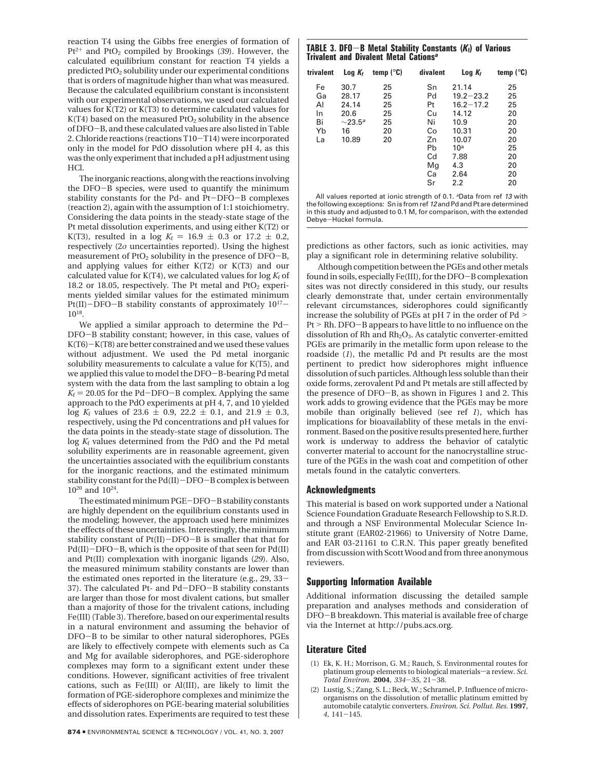reaction T4 using the Gibbs free energies of formation of  $Pt^{2+}$  and  $PtO_2$  compiled by Brookings (39). However, the calculated equilibrium constant for reaction T4 yields a predicted PtO2 solubility under our experimental conditions that is orders of magnitude higher than what was measured. Because the calculated equilibrium constant is inconsistent with our experimental observations, we used our calculated values for K(T2) or K(T3) to determine calculated values for K(T4) based on the measured  $P_1O_2$  solubility in the absence of DFO-B, and these calculated values are also listed in Table 2. Chloride reactions (reactions T10-T14) were incorporated only in the model for PdO dissolution where pH 4, as this was the only experiment that included a pH adjustment using HCl.

The inorganic reactions, along with the reactions involving the DFO-B species, were used to quantify the minimum stability constants for the Pd- and Pt-DFO-B complexes (reaction 2), again with the assumption of 1:1 stoichiometry. Considering the data points in the steady-state stage of the Pt metal dissolution experiments, and using either K(T2) or K(T3), resulted in a log  $K_f = 16.9 \pm 0.3$  or 17.2  $\pm$  0.2, respectively (2*σ* uncertainties reported). Using the highest measurement of  $PtO<sub>2</sub>$  solubility in the presence of  $DFO-B$ , and applying values for either K(T2) or K(T3) and our calculated value for  $K(T4)$ , we calculated values for  $log K_f$  of 18.2 or 18.05, respectively. The Pt metal and  $PtO<sub>2</sub>$  experiments yielded similar values for the estimated minimum Pt(II)-DFO-B stability constants of approximately  $10^{17}$ -1018.

We applied a similar approach to determine the Pd-DFO-B stability constant; however, in this case, values of  $K(T6)-K(T8)$  are better constrained and we used these values without adjustment. We used the Pd metal inorganic solubility measurements to calculate a value for K(T5), and we applied this value to model the DFO-B-bearing Pd metal system with the data from the last sampling to obtain a log  $K<sub>f</sub> = 20.05$  for the Pd-DFO-B complex. Applying the same approach to the PdO experiments at pH 4, 7, and 10 yielded log  $K_f$  values of 23.6  $\pm$  0.9, 22.2  $\pm$  0.1, and 21.9  $\pm$  0.3, respectively, using the Pd concentrations and pH values for the data points in the steady-state stage of dissolution. The log  $K_f$  values determined from the PdO and the Pd metal solubility experiments are in reasonable agreement, given the uncertainties associated with the equilibrium constants for the inorganic reactions, and the estimated minimum stability constant for the Pd(II)-DFO-B complex is between 1020 and 1024.

The estimated minimum PGE-DFO-B stability constants are highly dependent on the equilibrium constants used in the modeling; however, the approach used here minimizes the effects of these uncertainties. Interestingly, the minimum stability constant of Pt(II)-DFO-B is smaller that that for Pd(II)-DFO-B, which is the opposite of that seen for Pd(II) and Pt(II) complexation with inorganic ligands (*29*). Also, the measured minimum stability constants are lower than the estimated ones reported in the literature (e.g., 29, 33- 37). The calculated Pt- and Pd-DFO-B stability constants are larger than those for most divalent cations, but smaller than a majority of those for the trivalent cations, including Fe(III) (Table 3). Therefore, based on our experimental results in a natural environment and assuming the behavior of DFO-B to be similar to other natural siderophores, PGEs are likely to effectively compete with elements such as Ca and Mg for available siderophores, and PGE-siderophore complexes may form to a significant extent under these conditions. However, significant activities of free trivalent cations, such as Fe(III) or Al(III), are likely to limit the formation of PGE-siderophore complexes and minimize the effects of siderophores on PGE-bearing material solubilities and dissolution rates. Experiments are required to test these

## **TABLE 3. DFO**-**B Metal Stability Constants (***K***f) of Various Trivalent and Divalent Metal Cations***<sup>a</sup>*

| trivalent                  | $Log K_f$                                                  | temp $(^\circ \mathbb{C})$ | divalent                                           | $Log K_f$                                                       | temp $(^\circ \mathsf{C})$             |
|----------------------------|------------------------------------------------------------|----------------------------|----------------------------------------------------|-----------------------------------------------------------------|----------------------------------------|
| Fe<br>Ga<br>AI<br>In<br>Bi | 30.7<br>28.17<br>24.14<br>20.6<br>$\sim$ 23.5 <sup>a</sup> | 25<br>25<br>25<br>25<br>25 | Sn<br>Pd<br>Pt<br>Cu<br>Ni                         | 21.14<br>$19.2 - 23.2$<br>$16.2 - 17.2$<br>14.12<br>10.9        | 25<br>25<br>25<br>20<br>20             |
| Yb<br>La                   | 16<br>10.89                                                | 20<br>20                   | Co<br>Zn<br>Pb<br>C <sub>d</sub><br>Mg<br>Ca<br>Sr | 10.31<br>10.07<br>10 <sup>a</sup><br>7.88<br>4.3<br>2.64<br>2.2 | 20<br>20<br>25<br>20<br>20<br>20<br>20 |

All values reported at ionic strength of 0.1. <sup>a</sup>Data from ref 13 with the following exceptions: Sn is from ref 12 and Pd and Pt are determined in this study and adjusted to 0.1 M, for comparison, with the extended Debye-Hückel formula.

predictions as other factors, such as ionic activities, may play a significant role in determining relative solubility.

Although competition between the PGEs and other metals found in soils, especially Fe(III), for the DFO-B complexation sites was not directly considered in this study, our results clearly demonstrate that, under certain environmentally relevant circumstances, siderophores could significantly increase the solubility of PGEs at pH 7 in the order of Pd > Pt > Rh. DFO-B appears to have little to no influence on the dissolution of Rh and Rh<sub>2</sub>O<sub>3</sub>. As catalytic converter-emitted PGEs are primarily in the metallic form upon release to the roadside (*1*), the metallic Pd and Pt results are the most pertinent to predict how siderophores might influence dissolution of such particles. Although less soluble than their oxide forms, zerovalent Pd and Pt metals are still affected by the presence of DFO-B, as shown in Figures 1 and 2. This work adds to growing evidence that the PGEs may be more mobile than originally believed (see ref *1*), which has implications for bioavailablity of these metals in the environment. Based on the positive results presented here, further work is underway to address the behavior of catalytic converter material to account for the nanocrystalline structure of the PGEs in the wash coat and competition of other metals found in the catalytic converters.

#### **Acknowledgments**

This material is based on work supported under a National Science Foundation Graduate Research Fellowship to S.R.D. and through a NSF Environmental Molecular Science Institute grant (EAR02-21966) to University of Notre Dame, and EAR 03-21161 to C.R.N. This paper greatly benefited from discussion with Scott Wood and from three anonymous reviewers.

### **Supporting Information Available**

Additional information discussing the detailed sample preparation and analyses methods and consideration of DFO-B breakdown. This material is available free of charge via the Internet at http://pubs.acs.org.

### **Literature Cited**

- (1) Ek, K. H.; Morrison, G. M.; Rauch, S. Environmental routes for platinum group elements to biological materials-a review. Sci. *Total Environ.* **<sup>2004</sup>**, *<sup>334</sup>*-*35*, 21-38.
- (2) Lustig, S.; Zang, S. L.; Beck, W.; Schramel, P. Influence of microorganisms on the dissolution of metallic platinum emitted by automobile catalytic converters. *Environ. Sci. Pollut. Res.* **1997**, *<sup>4</sup>*, 141-145.